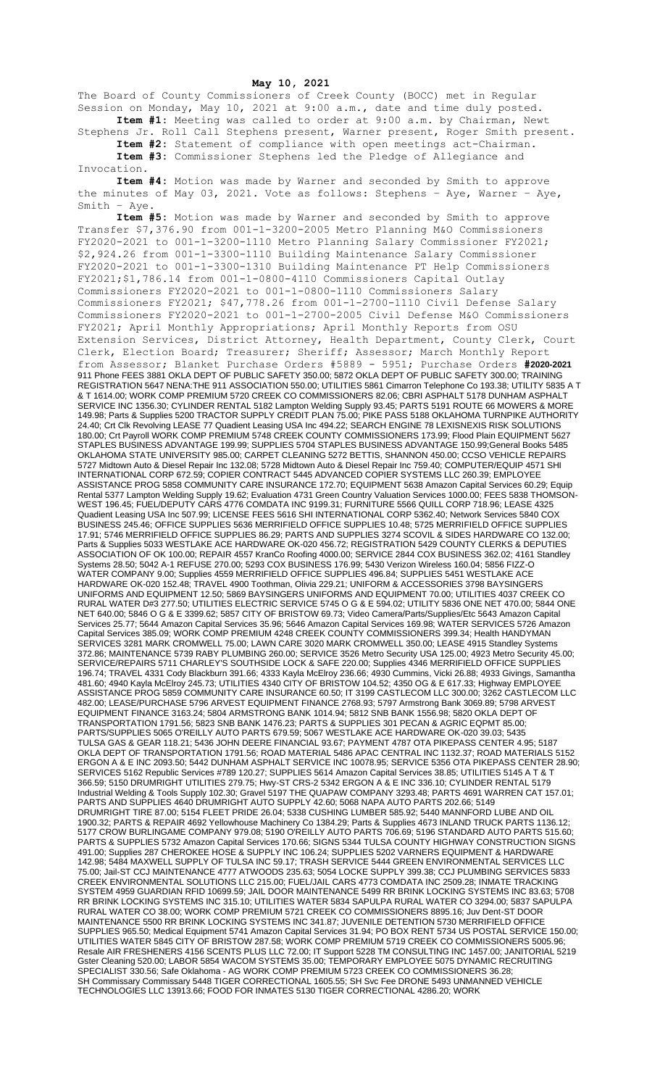## **May 10, 2021**

The Board of County Commissioners of Creek County (BOCC) met in Regular Session on Monday, May 10, 2021 at 9:00 a.m., date and time duly posted. **Item #1:** Meeting was called to order at 9:00 a.m. by Chairman, Newt

Stephens Jr. Roll Call Stephens present, Warner present, Roger Smith present. **Item #2:** Statement of compliance with open meetings act-Chairman. **Item #3:** Commissioner Stephens led the Pledge of Allegiance and

Invocation.

**Item #4:** Motion was made by Warner and seconded by Smith to approve the minutes of May 03, 2021. Vote as follows: Stephens – Aye, Warner – Aye, Smith – Aye.

**Item #5:** Motion was made by Warner and seconded by Smith to approve Transfer \$7,376.90 from 001-1-3200-2005 Metro Planning M&O Commissioners FY2020-2021 to 001-1-3200-1110 Metro Planning Salary Commissioner FY2021; \$2,924.26 from 001-1-3300-1110 Building Maintenance Salary Commissioner FY2020-2021 to 001-1-3300-1310 Building Maintenance PT Help Commissioners FY2021;\$1,786.14 from 001-1-0800-4110 Commissioners Capital Outlay Commissioners FY2020-2021 to 001-1-0800-1110 Commissioners Salary Commissioners FY2021; \$47,778.26 from 001-1-2700-1110 Civil Defense Salary Commissioners FY2020-2021 to 001-1-2700-2005 Civil Defense M&O Commissioners FY2021; April Monthly Appropriations; April Monthly Reports from OSU Extension Services, District Attorney, Health Department, County Clerk, Court Clerk, Election Board; Treasurer; Sheriff; Assessor; March Monthly Report from Assessor; Blanket Purchase Orders #5889 - 5951; Purchase Orders **#2020-2021** 911 Phone FEES 3881 OKLA DEPT OF PUBLIC SAFETY 350.00; 5872 OKLA DEPT OF PUBLIC SAFETY 300.00; TRAINING REGISTRATION 5647 NENA:THE 911 ASSOCIATION 550.00; UTILITIES 5861 Cimarron Telephone Co 193.38; UTILITY 5835 A T & T 1614.00; WORK COMP PREMIUM 5720 CREEK CO COMMISSIONERS 82.06; CBRI ASPHALT 5178 DUNHAM ASPHALT SERVICE INC 1356.30; CYLINDER RENTAL 5182 Lampton Welding Supply 93.45; PARTS 5191 ROUTE 66 MOWERS & MORE 149.98; Parts & Supplies 5200 TRACTOR SUPPLY CREDIT PLAN 75.00; PIKE PASS 5188 OKLAHOMA TURNPIKE AUTHORITY 24.40; Crt Clk Revolving LEASE 77 Quadient Leasing USA Inc 494.22; SEARCH ENGINE 78 LEXISNEXIS RISK SOLUTIONS 180.00; Crt Payroll WORK COMP PREMIUM 5748 CREEK COUNTY COMMISSIONERS 173.99; Flood Plain EQUIPMENT 5627 STAPLES BUSINESS ADVANTAGE 199.99; SUPPLIES 5704 STAPLES BUSINESS ADVANTAGE 150.99;General Books 5485 OKLAHOMA STATE UNIVERSITY 985.00; CARPET CLEANING 5272 BETTIS, SHANNON 450.00; CCSO VEHICLE REPAIRS 5727 Midtown Auto & Diesel Repair Inc 132.08; 5728 Midtown Auto & Diesel Repair Inc 759.40; COMPUTER/EQUIP 4571 SHI INTERNATIONAL CORP 672.59; COPIER CONTRACT 5445 ADVANCED COPIER SYSTEMS LLC 260.39; EMPLOYEE ASSISTANCE PROG 5858 COMMUNITY CARE INSURANCE 172.70; EQUIPMENT 5638 Amazon Capital Services 60.29; Equip Rental 5377 Lampton Welding Supply 19.62; Evaluation 4731 Green Country Valuation Services 1000.00; FEES 5838 THOMSON-WEST 196.45; FUEL/DEPUTY CARS 4776 COMDATA INC 9199.31; FURNITURE 5566 QUILL CORP 718.96; LEASE 4325 Quadient Leasing USA Inc 507.99; LICENSE FEES 5616 SHI INTERNATIONAL CORP 5362.40; Network Services 5840 COX BUSINESS 245.46; OFFICE SUPPLIES 5636 MERRIFIELD OFFICE SUPPLIES 10.48; 5725 MERRIFIELD OFFICE SUPPLIES 17.91; 5746 MERRIFIELD OFFICE SUPPLIES 86.29; PARTS AND SUPPLIES 3274 SCOVIL & SIDES HARDWARE CO 132.00; Parts & Supplies 5033 WESTLAKE ACE HARDWARE OK-020 456.72; REGISTRATION 5429 COUNTY CLERKS & DEPUTIES ASSOCIATION OF OK 100.00; REPAIR 4557 KranCo Roofing 4000.00; SERVICE 2844 COX BUSINESS 362.02; 4161 Standley Systems 28.50; 5042 A-1 REFUSE 270.00; 5293 COX BUSINESS 176.99; 5430 Verizon Wireless 160.04; 5856 FIZZ-O WATER COMPANY 9.00; Supplies 4559 MERRIFIELD OFFICE SUPPLIES 496.84; SUPPLIES 5451 WESTLAKE ACE HARDWARE OK-020 152.48; TRAVEL 4900 Toothman, Olivia 229.21; UNIFORM & ACCESSORIES 3798 BAYSINGERS UNIFORMS AND EQUIPMENT 12.50; 5869 BAYSINGERS UNIFORMS AND EQUIPMENT 70.00; UTILITIES 4037 CREEK CO RURAL WATER D#3 277.50; UTILITIES ELECTRIC SERVICE 5745 O G & E 594.02; UTILITY 5836 ONE NET 470.00; 5844 ONE NET 640.00; 5846 O G & E 3399.62; 5857 CITY OF BRISTOW 69.73; Video Camera/Parts/Supplies/Etc 5643 Amazon Capital Services 25.77; 5644 Amazon Capital Services 35.96; 5646 Amazon Capital Services 169.98; WATER SERVICES 5726 Amazon Capital Services 385.09; WORK COMP PREMIUM 4248 CREEK COUNTY COMMISSIONERS 399.34; Health HANDYMAN SERVICES 3281 MARK CROMWELL 75.00; LAWN CARE 3020 MARK CROMWELL 350.00; LEASE 4915 Standley Systems 372.86; MAINTENANCE 5739 RABY PLUMBING 260.00; SERVICE 3526 Metro Security USA 125.00; 4923 Metro Security 45.00; SERVICE/REPAIRS 5711 CHARLEY'S SOUTHSIDE LOCK & SAFE 220.00; Supplies 4346 MERRIFIELD OFFICE SUPPLIES 196.74; TRAVEL 4331 Cody Blackburn 391.66; 4333 Kayla McElroy 236.66; 4930 Cummins, Vicki 26.88; 4933 Givings, Samantha 481.60; 4940 Kayla McElroy 245.73; UTILITIES 4340 CITY OF BRISTOW 104.52; 4350 OG & E 617.33; Highway EMPLOYEE ASSISTANCE PROG 5859 COMMUNITY CARE INSURANCE 60.50; IT 3199 CASTLECOM LLC 300.00; 3262 CASTLECOM LLC 482.00; LEASE/PURCHASE 5796 ARVEST EQUIPMENT FINANCE 2768.93; 5797 Armstrong Bank 3069.89; 5798 ARVEST EQUIPMENT FINANCE 3163.24; 5804 ARMSTRONG BANK 1014.94; 5812 SNB BANK 1556.98; 5820 OKLA DEPT OF TRANSPORTATION 1791.56; 5823 SNB BANK 1476.23; PARTS & SUPPLIES 301 PECAN & AGRIC EQPMT 85.00; PARTS/SUPPLIES 5065 O'REILLY AUTO PARTS 679.59; 5067 WESTLAKE ACE HARDWARE OK-020 39.03; 5435 TULSA GAS & GEAR 118.21; 5436 JOHN DEERE FINANCIAL 93.67; PAYMENT 4787 OTA PIKEPASS CENTER 4.95; 5187 OKLA DEPT OF TRANSPORTATION 1791.56; ROAD MATERIAL 5486 APAC CENTRAL INC 1132.37; ROAD MATERIALS 5152 ERGON A & E INC 2093.50; 5442 DUNHAM ASPHALT SERVICE INC 10078.95; SERVICE 5356 OTA PIKEPASS CENTER 28.90; SERVICES 5162 Republic Services #789 120.27; SUPPLIES 5614 Amazon Capital Services 38.85; UTILITIES 5145 A T & T 366.59; 5150 DRUMRIGHT UTILITIES 279.75; Hwy-ST CRS-2 5342 ERGON A & E INC 336.10; CYLINDER RENTAL 5179 Industrial Welding & Tools Supply 102.30; Gravel 5197 THE QUAPAW COMPANY 3293.48; PARTS 4691 WARREN CAT 157.01; PARTS AND SUPPLIES 4640 DRUMRIGHT AUTO SUPPLY 42.60; 5068 NAPA AUTO PARTS 202.66; 5149 DRUMRIGHT TIRE 87.00; 5154 FLEET PRIDE 26.04; 5338 CUSHING LUMBER 585.92; 5440 MANNFORD LUBE AND OIL 1900.32; PARTS & REPAIR 4692 Yellowhouse Machinery Co 1384.29; Parts & Supplies 4673 INLAND TRUCK PARTS 1136.12; 5177 CROW BURLINGAME COMPANY 979.08; 5190 O'REILLY AUTO PARTS 706.69; 5196 STANDARD AUTO PARTS 515.60; PARTS & SUPPLIES 5732 Amazon Capital Services 170.66; SIGNS 5344 TULSA COUNTY HIGHWAY CONSTRUCTION SIGNS 491.00; Supplies 287 CHEROKEE HOSE & SUPPLY INC 106.24; SUPPLIES 5202 VARNERS EQUIPMENT & HARDWARE 142.98; 5484 MAXWELL SUPPLY OF TULSA INC 59.17; TRASH SERVICE 5444 GREEN ENVIRONMENTAL SERVICES LLC 75.00; Jail-ST CCJ MAINTENANCE 4777 ATWOODS 235.63; 5054 LOCKE SUPPLY 399.38; CCJ PLUMBING SERVICES 5833 CREEK ENVIRONMENTAL SOLUTIONS LLC 215.00; FUEL/JAIL CARS 4773 COMDATA INC 2509.28; INMATE TRACKING SYSTEM 4959 GUARDIAN RFID 10699.59; JAIL DOOR MAINTENANCE 5499 RR BRINK LOCKING SYSTEMS INC 83.63; 5708 RR BRINK LOCKING SYSTEMS INC 315.10; UTILITIES WATER 5834 SAPULPA RURAL WATER CO 3294.00; 5837 SAPULPA RURAL WATER CO 38.00; WORK COMP PREMIUM 5721 CREEK CO COMMISSIONERS 8895.16; Juv Dent-ST DOOR MAINTENANCE 5500 RR BRINK LOCKING SYSTEMS INC 341.87; JUVENILE DETENTION 5730 MERRIFIELD OFFICE SUPPLIES 965.50; Medical Equipment 5741 Amazon Capital Services 31.94; PO BOX RENT 5734 US POSTAL SERVICE 150.00; UTILITIES WATER 5845 CITY OF BRISTOW 287.58; WORK COMP PREMIUM 5719 CREEK CO COMMISSIONERS 5005.96; Resale AIR FRESHENERS 4156 SCENTS PLUS LLC 72.00; IT Support 5228 TM CONSULTING INC 1457.00; JANITORIAL 5219 Gster Cleaning 520.00; LABOR 5854 WACOM SYSTEMS 35.00; TEMPORARY EMPLOYEE 5075 DYNAMIC RECRUITING SPECIALIST 330.56; Safe Oklahoma - AG WORK COMP PREMIUM 5723 CREEK CO COMMISSIONERS 36.28; SH Commissary Commissary 5448 TIGER CORRECTIONAL 1605.55; SH Svc Fee DRONE 5493 UNMANNED VEHICLE TECHNOLOGIES LLC 13913.66; FOOD FOR INMATES 5130 TIGER CORRECTIONAL 4286.20; WORK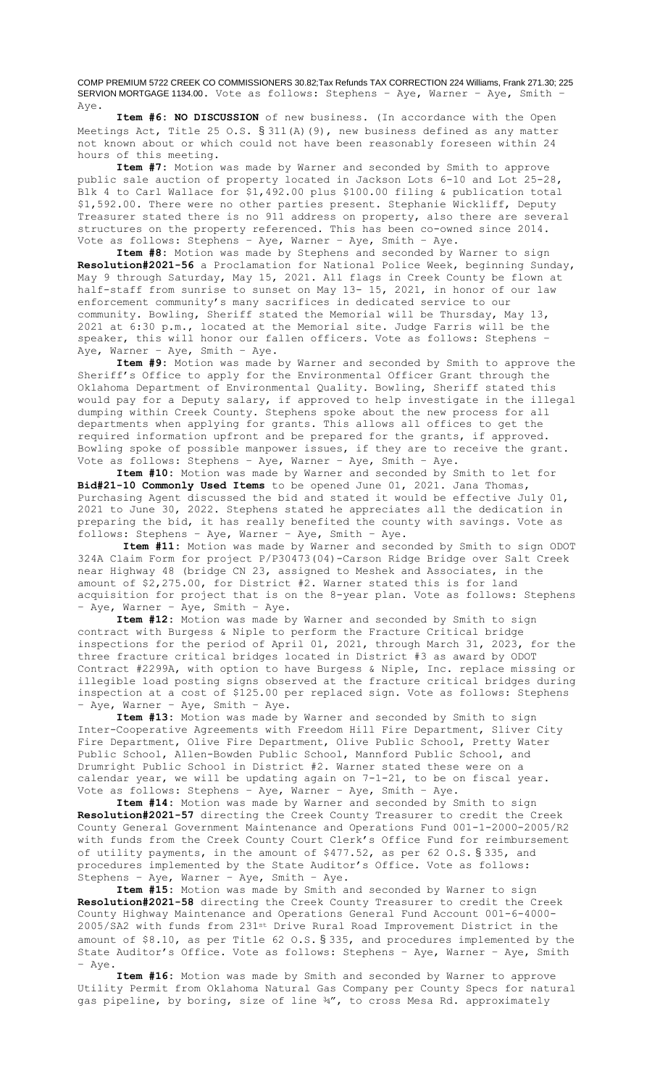COMP PREMIUM 5722 CREEK CO COMMISSIONERS 30.82;Tax Refunds TAX CORRECTION 224 Williams, Frank 271.30; 225 SERVION MORTGAGE 1134.00. Vote as follows: Stephens – Aye, Warner – Aye, Smith – Aye.

**Item #6: NO DISCUSSION** of new business. (In accordance with the Open Meetings Act, Title 25 O.S. § 311(A)(9), new business defined as any matter not known about or which could not have been reasonably foreseen within 24 hours of this meeting.

**Item #7:** Motion was made by Warner and seconded by Smith to approve public sale auction of property located in Jackson Lots 6-10 and Lot 25-28, Blk 4 to Carl Wallace for \$1,492.00 plus \$100.00 filing & publication total \$1,592.00. There were no other parties present. Stephanie Wickliff, Deputy Treasurer stated there is no 911 address on property, also there are several structures on the property referenced. This has been co-owned since 2014. Vote as follows: Stephens – Aye, Warner – Aye, Smith – Aye.

**Item #8:** Motion was made by Stephens and seconded by Warner to sign **Resolution#2021-56** a Proclamation for National Police Week, beginning Sunday, May 9 through Saturday, May 15, 2021. All flags in Creek County be flown at half-staff from sunrise to sunset on May 13- 15, 2021, in honor of our law enforcement community's many sacrifices in dedicated service to our community. Bowling, Sheriff stated the Memorial will be Thursday, May 13, 2021 at 6:30 p.m., located at the Memorial site. Judge Farris will be the speaker, this will honor our fallen officers. Vote as follows: Stephens – Aye, Warner – Aye, Smith – Aye.

**Item #9:** Motion was made by Warner and seconded by Smith to approve the Sheriff's Office to apply for the Environmental Officer Grant through the Oklahoma Department of Environmental Quality. Bowling, Sheriff stated this would pay for a Deputy salary, if approved to help investigate in the illegal dumping within Creek County. Stephens spoke about the new process for all departments when applying for grants. This allows all offices to get the required information upfront and be prepared for the grants, if approved. Bowling spoke of possible manpower issues, if they are to receive the grant. Vote as follows: Stephens – Aye, Warner – Aye, Smith – Aye.

**Item #10:** Motion was made by Warner and seconded by Smith to let for **Bid#21-10 Commonly Used Items** to be opened June 01, 2021. Jana Thomas, Purchasing Agent discussed the bid and stated it would be effective July 01, 2021 to June 30, 2022. Stephens stated he appreciates all the dedication in preparing the bid, it has really benefited the county with savings. Vote as follows: Stephens – Aye, Warner – Aye, Smith – Aye.

**Item #11:** Motion was made by Warner and seconded by Smith to sign ODOT 324A Claim Form for project P/P30473(04)-Carson Ridge Bridge over Salt Creek near Highway 48 (bridge CN 23, assigned to Meshek and Associates, in the amount of \$2,275.00, for District #2. Warner stated this is for land acquisition for project that is on the 8-year plan. Vote as follows: Stephens – Aye, Warner – Aye, Smith – Aye.

**Item #12:** Motion was made by Warner and seconded by Smith to sign contract with Burgess & Niple to perform the Fracture Critical bridge inspections for the period of April 01, 2021, through March 31, 2023, for the three fracture critical bridges located in District #3 as award by ODOT Contract #2299A, with option to have Burgess & Niple, Inc. replace missing or illegible load posting signs observed at the fracture critical bridges during inspection at a cost of \$125.00 per replaced sign. Vote as follows: Stephens – Aye, Warner – Aye, Smith – Aye.

**Item #13:** Motion was made by Warner and seconded by Smith to sign Inter-Cooperative Agreements with Freedom Hill Fire Department, Sliver City Fire Department, Olive Fire Department, Olive Public School, Pretty Water Public School, Allen-Bowden Public School, Mannford Public School, and Drumright Public School in District #2. Warner stated these were on a calendar year, we will be updating again on 7-1-21, to be on fiscal year. Vote as follows: Stephens – Aye, Warner – Aye, Smith – Aye.

**Item #14:** Motion was made by Warner and seconded by Smith to sign **Resolution#2021-57** directing the Creek County Treasurer to credit the Creek County General Government Maintenance and Operations Fund 001-1-2000-2005/R2 with funds from the Creek County Court Clerk's Office Fund for reimbursement of utility payments, in the amount of \$477.52, as per 62 O.S. § 335, and procedures implemented by the State Auditor's Office. Vote as follows: Stephens – Aye, Warner – Aye, Smith – Aye.

**Item #15:** Motion was made by Smith and seconded by Warner to sign **Resolution#2021-58** directing the Creek County Treasurer to credit the Creek County Highway Maintenance and Operations General Fund Account 001-6-4000- 2005/SA2 with funds from 231st Drive Rural Road Improvement District in the amount of \$8.10, as per Title 62 O.S. § 335, and procedures implemented by the State Auditor's Office. Vote as follows: Stephens – Aye, Warner – Aye, Smith – Aye.

**Item #16:** Motion was made by Smith and seconded by Warner to approve Utility Permit from Oklahoma Natural Gas Company per County Specs for natural gas pipeline, by boring, size of line 34", to cross Mesa Rd. approximately